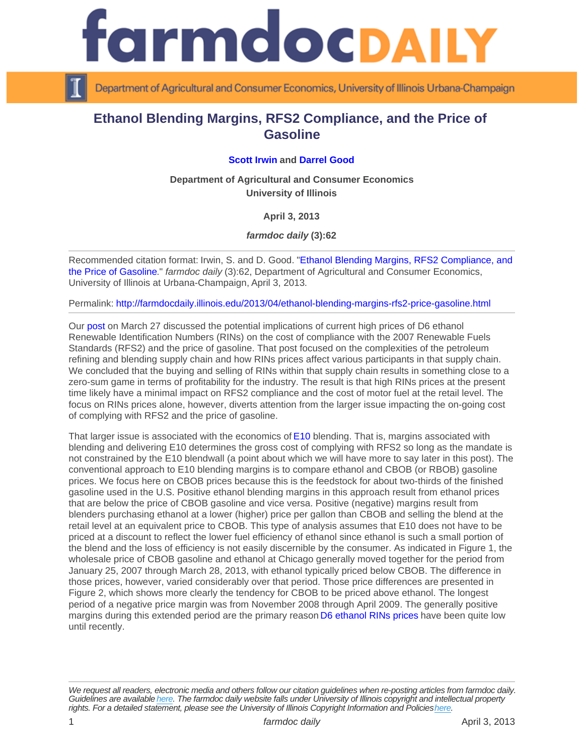## Ethanol Blending Margins, RFS2 Compliance, and the Price of **Gasoline**

## [Scott Irwin](http://www.farmdoc.illinois.edu/irwin) and [Darrel Good](http://www.farmdoc.illinois.edu/good)

Department of Agricultural and Consumer Economics University of Illinois

## April 3, 2013

farmdoc daily (3):62

Recommended citation format: Irwin, S. and D. Good. "[Ethanol Blending Margins, RFS2 Compliance, and](http://farmdocdaily.illinois.edu/2013/04/ethanol-blending-margins-rfs2-price-gasoline.html)  [the Price of Gasoline](http://farmdocdaily.illinois.edu/2013/04/ethanol-blending-margins-rfs2-price-gasoline.html)." farmdoc daily (3):62, Department of Agricultural and Consumer Economics, University of Illinois at Urbana-Champaign, April 3, 2013.

Permalink:<http://farmdocdaily.illinois.edu/2013/04/ethanol-blending-margins-rfs2-price-gasoline.html>

Our [post](http://farmdocdaily.illinois.edu/2013/03/high-gasoline-ethanol-rins-prices.html) on March 27 discussed the potential implications of current high prices of D6 ethanol Renewable Identification Numbers (RINs) on the cost of compliance with the 2007 Renewable Fuels Standards (RFS2) and the price of gasoline. That post focused on the complexities of the petroleum refining and blending supply chain and how RINs prices affect various participants in that supply chain. We concluded that the buying and selling of RINs within that supply chain results in something close to a zero-sum game in terms of profitability for the industry. The result is that high RINs prices at the present time likely have a minimal impact on RFS2 compliance and the cost of motor fuel at the retail level. The focus on RINs prices alone, however, diverts attention from the larger issue impacting the on-going cost of complying with RFS2 and the price of gasoline.

That larger issue is associated with the economics of [E10](http://en.wikipedia.org/wiki/E10_fuel#E10_or_less) blending. That is, margins associated with blending and delivering E10 determines the gross cost of complying with RFS2 so long as the mandate is not constrained by the E10 blendwall (a point about which we will have more to say later in this post). The conventional approach to E10 blending margins is to compare ethanol and CBOB (or RBOB) gasoline prices. We focus here on CBOB prices because this is the feedstock for about two-thirds of the finished gasoline used in the U.S. Positive ethanol blending margins in this approach result from ethanol prices that are below the price of CBOB gasoline and vice versa. Positive (negative) margins result from blenders purchasing ethanol at a lower (higher) price per gallon than CBOB and selling the blend at the retail level at an equivalent price to CBOB. This type of analysis assumes that E10 does not have to be priced at a discount to reflect the lower fuel efficiency of ethanol since ethanol is such a small portion of the blend and the loss of efficiency is not easily discernible by the consumer. As indicated in Figure 1, the wholesale price of CBOB gasoline and ethanol at Chicago generally moved together for the period from January 25, 2007 through March 28, 2013, with ethanol typically priced below CBOB. The difference in those prices, however, varied considerably over that period. Those price differences are presented in Figure 2, which shows more clearly the tendency for CBOB to be priced above ethanol. The longest period of a negative price margin was from November 2008 through April 2009. The generally positive margins during this extended period are the primary reason [D6 ethanol RINs prices](http://farmdocdaily.illinois.edu/2013/03/exploding-ethanol-rins-prices.html) have been quite low until recently.

We request all readers, electronic media and others follow our citation guidelines when re-posting articles from farmdoc daily. Guidelines are available [here](http://farmdocdaily.illinois.edu/citationguide.html). The farmdoc daily website falls under University of Illinois copyright and intellectual property rights. For a detailed statement, please see the University of Illinois Copyright Information and Policies [here.](https://techservices.illinois.edu/office-cio)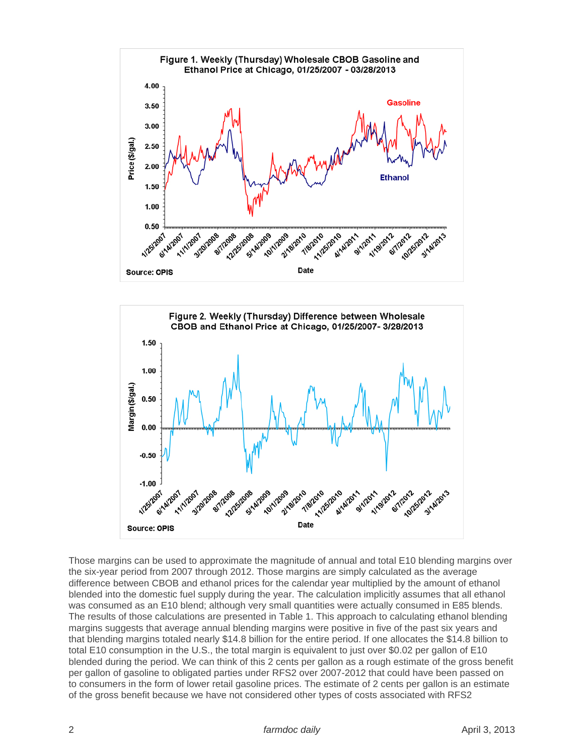



Those margins can be used to approximate the magnitude of annual and total E10 blending margins over the six-year period from 2007 through 2012. Those margins are simply calculated as the average difference between CBOB and ethanol prices for the calendar year multiplied by the amount of ethanol blended into the domestic fuel supply during the year. The calculation implicitly assumes that all ethanol was consumed as an E10 blend; although very small quantities were actually consumed in E85 blends. The results of those calculations are presented in Table 1. This approach to calculating ethanol blending margins suggests that average annual blending margins were positive in five of the past six years and that blending margins totaled nearly \$14.8 billion for the entire period. If one allocates the \$14.8 billion to total E10 consumption in the U.S., the total margin is equivalent to just over \$0.02 per gallon of E10 blended during the period. We can think of this 2 cents per gallon as a rough estimate of the gross benefit per gallon of gasoline to obligated parties under RFS2 over 2007-2012 that could have been passed on to consumers in the form of lower retail gasoline prices. The estimate of 2 cents per gallon is an estimate of the gross benefit because we have not considered other types of costs associated with RFS2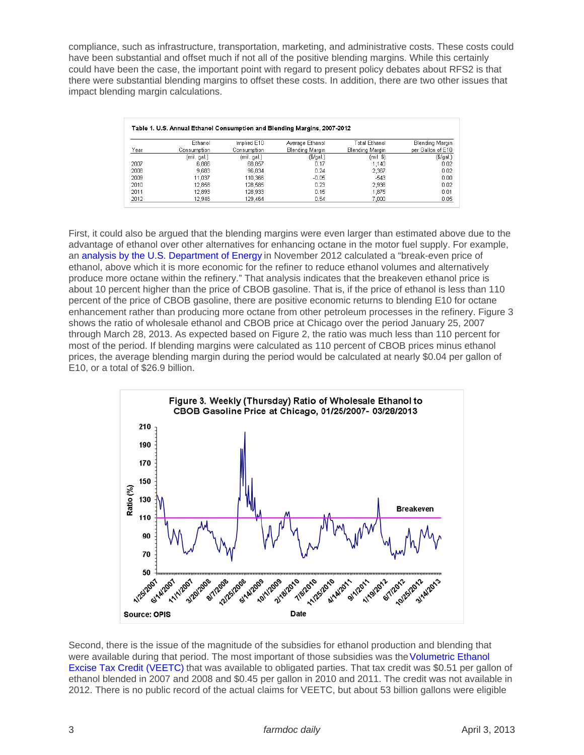compliance, such as infrastructure, transportation, marketing, and administrative costs. These costs could have been substantial and offset much if not all of the positive blending margins. While this certainly could have been the case, the important point with regard to present policy debates about RFS2 is that there were substantial blending margins to offset these costs. In addition, there are two other issues that impact blending margin calculations.

First, it could also be argued that the blending margins were even larger than estimated above due to the advantage of ethanol over other alternatives for enhancing octane in the motor fuel supply. For example, an [analysis by the U.S. Department of Energy](http://www.regulations.gov/#!documentDetail;D=EPA-HQ-OAR-2012-0632-2544) in November 2012 calculated a "break-even price of ethanol, above which it is more economic for the refiner to reduce ethanol volumes and alternatively produce more octane within the refinery." That analysis indicates that the breakeven ethanol price is about 10 percent higher than the price of CBOB gasoline. That is, if the price of ethanol is less than 110 percent of the price of CBOB gasoline, there are positive economic returns to blending E10 for octane enhancement rather than producing more octane from other petroleum processes in the refinery. Figure 3 shows the ratio of wholesale ethanol and CBOB price at Chicago over the period January 25, 2007 through March 28, 2013. As expected based on Figure 2, the ratio was much less than 110 percent for most of the period. If blending margins were calculated as 110 percent of CBOB prices minus ethanol prices, the average blending margin during the period would be calculated at nearly \$0.04 per gallon of E10, or a total of \$26.9 billion.

Second, there is the issue of the magnitude of the subsidies for ethanol production and blending that were available during that period. The most important of those subsidies was the Volumetric Ethanol [Excise Tax Credit \(VEETC\)](http://www.farmdoc.illinois.edu/policy/apbr/apbr_10_01/apbr_10_01.pdf) that was available to obligated parties. That tax credit was \$0.51 per gallon of ethanol blended in 2007 and 2008 and \$0.45 per gallon in 2010 and 2011. The credit was not available in 2012. There is no public record of the actual claims for VEETC, but about 53 billion gallons were eligible